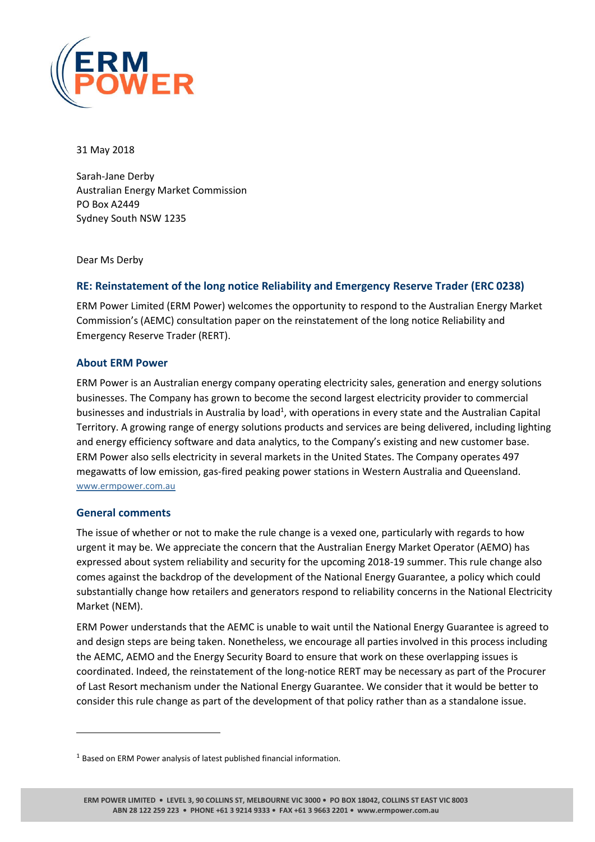

31 May 2018

Sarah-Jane Derby Australian Energy Market Commission PO Box A2449 Sydney South NSW 1235

Dear Ms Derby

## **RE: Reinstatement of the long notice Reliability and Emergency Reserve Trader (ERC 0238)**

ERM Power Limited (ERM Power) welcomes the opportunity to respond to the Australian Energy Market Commission's (AEMC) consultation paper on the reinstatement of the long notice Reliability and Emergency Reserve Trader (RERT).

#### **About ERM Power**

ERM Power is an Australian energy company operating electricity sales, generation and energy solutions businesses. The Company has grown to become the second largest electricity provider to commercial businesses and industrials in Australia by load<sup>1</sup>, with operations in every state and the Australian Capital Territory. A growing range of energy solutions products and services are being delivered, including lighting and energy efficiency software and data analytics, to the Company's existing and new customer base. ERM Power also sells electricity in several markets in the United States. The Company operates 497 megawatts of low emission, gas-fired peaking power stations in Western Australia and Queensland. [www.ermpower.com.au](http://www.ermpower.com.au/)

#### **General comments**

 $\overline{a}$ 

The issue of whether or not to make the rule change is a vexed one, particularly with regards to how urgent it may be. We appreciate the concern that the Australian Energy Market Operator (AEMO) has expressed about system reliability and security for the upcoming 2018-19 summer. This rule change also comes against the backdrop of the development of the National Energy Guarantee, a policy which could substantially change how retailers and generators respond to reliability concerns in the National Electricity Market (NEM).

ERM Power understands that the AEMC is unable to wait until the National Energy Guarantee is agreed to and design steps are being taken. Nonetheless, we encourage all parties involved in this process including the AEMC, AEMO and the Energy Security Board to ensure that work on these overlapping issues is coordinated. Indeed, the reinstatement of the long-notice RERT may be necessary as part of the Procurer of Last Resort mechanism under the National Energy Guarantee. We consider that it would be better to consider this rule change as part of the development of that policy rather than as a standalone issue.

<sup>&</sup>lt;sup>1</sup> Based on ERM Power analysis of latest published financial information.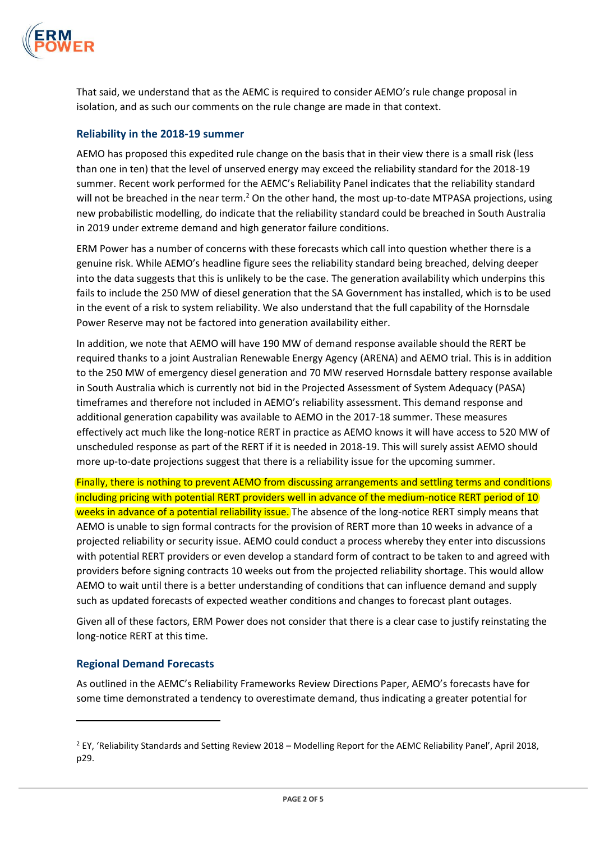

That said, we understand that as the AEMC is required to consider AEMO's rule change proposal in isolation, and as such our comments on the rule change are made in that context.

# **Reliability in the 2018-19 summer**

AEMO has proposed this expedited rule change on the basis that in their view there is a small risk (less than one in ten) that the level of unserved energy may exceed the reliability standard for the 2018-19 summer. Recent work performed for the AEMC's Reliability Panel indicates that the reliability standard will not be breached in the near term.<sup>2</sup> On the other hand, the most up-to-date MTPASA projections, using new probabilistic modelling, do indicate that the reliability standard could be breached in South Australia in 2019 under extreme demand and high generator failure conditions.

ERM Power has a number of concerns with these forecasts which call into question whether there is a genuine risk. While AEMO's headline figure sees the reliability standard being breached, delving deeper into the data suggests that this is unlikely to be the case. The generation availability which underpins this fails to include the 250 MW of diesel generation that the SA Government has installed, which is to be used in the event of a risk to system reliability. We also understand that the full capability of the Hornsdale Power Reserve may not be factored into generation availability either.

In addition, we note that AEMO will have 190 MW of demand response available should the RERT be required thanks to a joint Australian Renewable Energy Agency (ARENA) and AEMO trial. This is in addition to the 250 MW of emergency diesel generation and 70 MW reserved Hornsdale battery response available in South Australia which is currently not bid in the Projected Assessment of System Adequacy (PASA) timeframes and therefore not included in AEMO's reliability assessment. This demand response and additional generation capability was available to AEMO in the 2017-18 summer. These measures effectively act much like the long-notice RERT in practice as AEMO knows it will have access to 520 MW of unscheduled response as part of the RERT if it is needed in 2018-19. This will surely assist AEMO should more up-to-date projections suggest that there is a reliability issue for the upcoming summer.

Finally, there is nothing to prevent AEMO from discussing arrangements and settling terms and conditions including pricing with potential RERT providers well in advance of the medium-notice RERT period of 10 weeks in advance of a potential reliability issue. The absence of the long-notice RERT simply means that AEMO is unable to sign formal contracts for the provision of RERT more than 10 weeks in advance of a projected reliability or security issue. AEMO could conduct a process whereby they enter into discussions with potential RERT providers or even develop a standard form of contract to be taken to and agreed with providers before signing contracts 10 weeks out from the projected reliability shortage. This would allow AEMO to wait until there is a better understanding of conditions that can influence demand and supply such as updated forecasts of expected weather conditions and changes to forecast plant outages.

Given all of these factors, ERM Power does not consider that there is a clear case to justify reinstating the long-notice RERT at this time.

#### **Regional Demand Forecasts**

l

As outlined in the AEMC's Reliability Frameworks Review Directions Paper, AEMO's forecasts have for some time demonstrated a tendency to overestimate demand, thus indicating a greater potential for

<sup>2</sup> EY, 'Reliability Standards and Setting Review 2018 – Modelling Report for the AEMC Reliability Panel', April 2018, p29.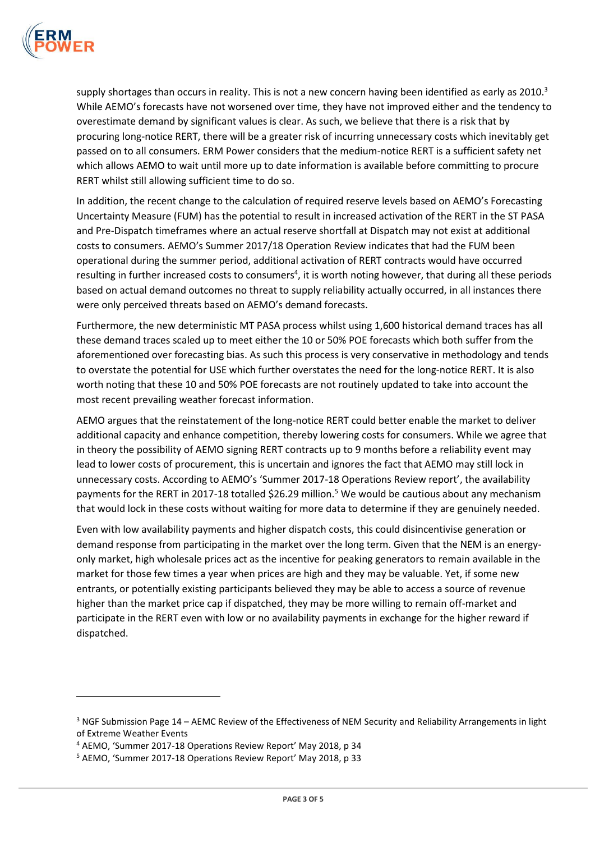

l

supply shortages than occurs in reality. This is not a new concern having been identified as early as 2010.<sup>3</sup> While AEMO's forecasts have not worsened over time, they have not improved either and the tendency to overestimate demand by significant values is clear. As such, we believe that there is a risk that by procuring long-notice RERT, there will be a greater risk of incurring unnecessary costs which inevitably get passed on to all consumers. ERM Power considers that the medium-notice RERT is a sufficient safety net which allows AEMO to wait until more up to date information is available before committing to procure RERT whilst still allowing sufficient time to do so.

In addition, the recent change to the calculation of required reserve levels based on AEMO's Forecasting Uncertainty Measure (FUM) has the potential to result in increased activation of the RERT in the ST PASA and Pre-Dispatch timeframes where an actual reserve shortfall at Dispatch may not exist at additional costs to consumers. AEMO's Summer 2017/18 Operation Review indicates that had the FUM been operational during the summer period, additional activation of RERT contracts would have occurred resulting in further increased costs to consumers<sup>4</sup>, it is worth noting however, that during all these periods based on actual demand outcomes no threat to supply reliability actually occurred, in all instances there were only perceived threats based on AEMO's demand forecasts.

Furthermore, the new deterministic MT PASA process whilst using 1,600 historical demand traces has all these demand traces scaled up to meet either the 10 or 50% POE forecasts which both suffer from the aforementioned over forecasting bias. As such this process is very conservative in methodology and tends to overstate the potential for USE which further overstates the need for the long-notice RERT. It is also worth noting that these 10 and 50% POE forecasts are not routinely updated to take into account the most recent prevailing weather forecast information.

AEMO argues that the reinstatement of the long-notice RERT could better enable the market to deliver additional capacity and enhance competition, thereby lowering costs for consumers. While we agree that in theory the possibility of AEMO signing RERT contracts up to 9 months before a reliability event may lead to lower costs of procurement, this is uncertain and ignores the fact that AEMO may still lock in unnecessary costs. According to AEMO's 'Summer 2017-18 Operations Review report', the availability payments for the RERT in 2017-18 totalled \$26.29 million.<sup>5</sup> We would be cautious about any mechanism that would lock in these costs without waiting for more data to determine if they are genuinely needed.

Even with low availability payments and higher dispatch costs, this could disincentivise generation or demand response from participating in the market over the long term. Given that the NEM is an energyonly market, high wholesale prices act as the incentive for peaking generators to remain available in the market for those few times a year when prices are high and they may be valuable. Yet, if some new entrants, or potentially existing participants believed they may be able to access a source of revenue higher than the market price cap if dispatched, they may be more willing to remain off-market and participate in the RERT even with low or no availability payments in exchange for the higher reward if dispatched.

<sup>&</sup>lt;sup>3</sup> NGF Submission Page 14 – AEMC Review of the Effectiveness of NEM Security and Reliability Arrangements in light of Extreme Weather Events

<sup>4</sup> AEMO, 'Summer 2017-18 Operations Review Report' May 2018, p 34

<sup>5</sup> AEMO, 'Summer 2017-18 Operations Review Report' May 2018, p 33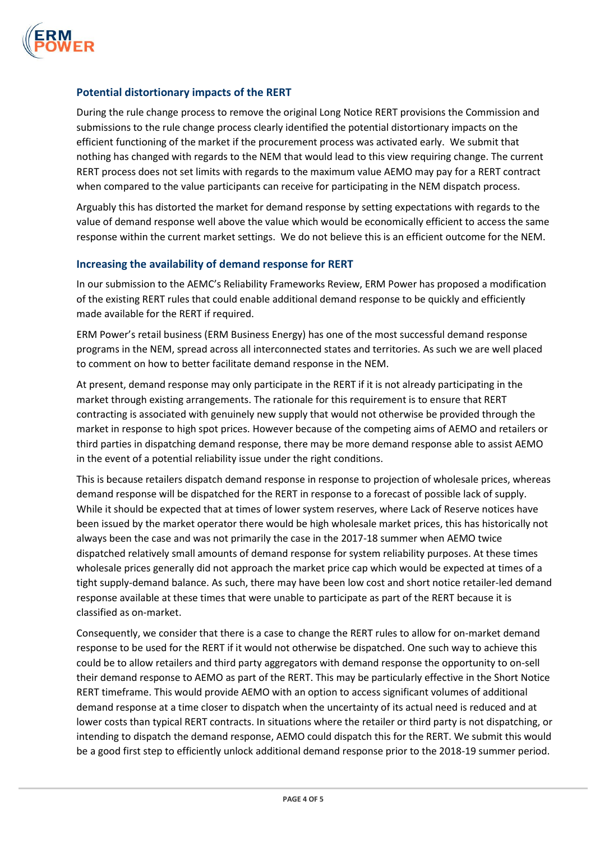

## **Potential distortionary impacts of the RERT**

During the rule change process to remove the original Long Notice RERT provisions the Commission and submissions to the rule change process clearly identified the potential distortionary impacts on the efficient functioning of the market if the procurement process was activated early. We submit that nothing has changed with regards to the NEM that would lead to this view requiring change. The current RERT process does not set limits with regards to the maximum value AEMO may pay for a RERT contract when compared to the value participants can receive for participating in the NEM dispatch process.

Arguably this has distorted the market for demand response by setting expectations with regards to the value of demand response well above the value which would be economically efficient to access the same response within the current market settings. We do not believe this is an efficient outcome for the NEM.

#### **Increasing the availability of demand response for RERT**

In our submission to the AEMC's Reliability Frameworks Review, ERM Power has proposed a modification of the existing RERT rules that could enable additional demand response to be quickly and efficiently made available for the RERT if required.

ERM Power's retail business (ERM Business Energy) has one of the most successful demand response programs in the NEM, spread across all interconnected states and territories. As such we are well placed to comment on how to better facilitate demand response in the NEM.

At present, demand response may only participate in the RERT if it is not already participating in the market through existing arrangements. The rationale for this requirement is to ensure that RERT contracting is associated with genuinely new supply that would not otherwise be provided through the market in response to high spot prices. However because of the competing aims of AEMO and retailers or third parties in dispatching demand response, there may be more demand response able to assist AEMO in the event of a potential reliability issue under the right conditions.

This is because retailers dispatch demand response in response to projection of wholesale prices, whereas demand response will be dispatched for the RERT in response to a forecast of possible lack of supply. While it should be expected that at times of lower system reserves, where Lack of Reserve notices have been issued by the market operator there would be high wholesale market prices, this has historically not always been the case and was not primarily the case in the 2017-18 summer when AEMO twice dispatched relatively small amounts of demand response for system reliability purposes. At these times wholesale prices generally did not approach the market price cap which would be expected at times of a tight supply-demand balance. As such, there may have been low cost and short notice retailer-led demand response available at these times that were unable to participate as part of the RERT because it is classified as on-market.

Consequently, we consider that there is a case to change the RERT rules to allow for on-market demand response to be used for the RERT if it would not otherwise be dispatched. One such way to achieve this could be to allow retailers and third party aggregators with demand response the opportunity to on-sell their demand response to AEMO as part of the RERT. This may be particularly effective in the Short Notice RERT timeframe. This would provide AEMO with an option to access significant volumes of additional demand response at a time closer to dispatch when the uncertainty of its actual need is reduced and at lower costs than typical RERT contracts. In situations where the retailer or third party is not dispatching, or intending to dispatch the demand response, AEMO could dispatch this for the RERT. We submit this would be a good first step to efficiently unlock additional demand response prior to the 2018-19 summer period.